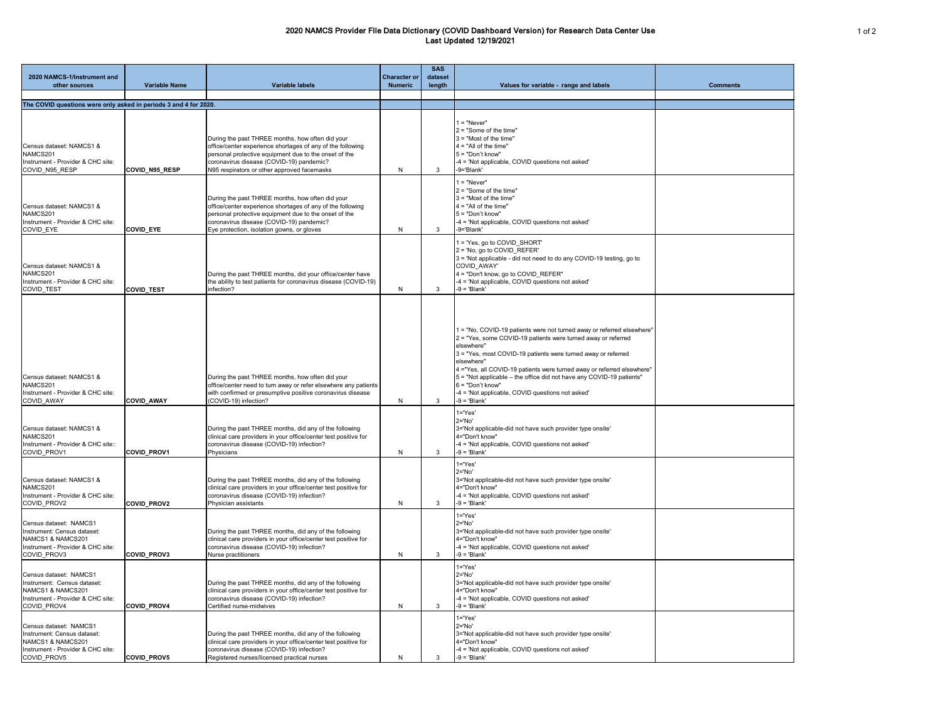## 2020 NAMCS Provider File Data Dictionary (COVID Dashboard Version) for Research Data Center Use Last Updated 12/19/2021

| 2020 NAMCS-1/Instrument and<br>other sources                                                                                   | <b>Variable Name</b> | <b>Variable labels</b>                                                                                                                                                                                                                                             | <b>Character or</b><br><b>Numeric</b> | <b>SAS</b><br>dataset<br>length | Values for variable - range and labels                                                                                                                                                                                                                                                                                                                                                                                                                                              | <b>Comments</b> |
|--------------------------------------------------------------------------------------------------------------------------------|----------------------|--------------------------------------------------------------------------------------------------------------------------------------------------------------------------------------------------------------------------------------------------------------------|---------------------------------------|---------------------------------|-------------------------------------------------------------------------------------------------------------------------------------------------------------------------------------------------------------------------------------------------------------------------------------------------------------------------------------------------------------------------------------------------------------------------------------------------------------------------------------|-----------------|
| The COVID questions were only asked in periods 3 and 4 for 2020.                                                               |                      |                                                                                                                                                                                                                                                                    |                                       |                                 |                                                                                                                                                                                                                                                                                                                                                                                                                                                                                     |                 |
|                                                                                                                                |                      |                                                                                                                                                                                                                                                                    |                                       |                                 | $1 = "Never"$                                                                                                                                                                                                                                                                                                                                                                                                                                                                       |                 |
| Census dataset: NAMCS1 &<br>NAMCS201<br>Instrument - Provider & CHC site:<br>COVID N95 RESP                                    | COVID_N95_RESP       | During the past THREE months, how often did your<br>office/center experience shortages of any of the following<br>personal protective equipment due to the onset of the<br>coronavirus disease (COVID-19) pandemic?<br>N95 respirators or other approved facemasks | N                                     | 3                               | $2 = "Some of the time"$<br>$3 =$ "Most of the time"<br>$4 = "All of the time"$<br>$5 = "Don't know"$<br>-4 = 'Not applicable, COVID questions not asked'<br>-9='Blank'                                                                                                                                                                                                                                                                                                             |                 |
| Census dataset: NAMCS1 &<br>NAMCS201<br>Instrument - Provider & CHC site:<br><b>COVID EYE</b>                                  | <b>COVID EYE</b>     | During the past THREE months, how often did your<br>office/center experience shortages of any of the following<br>personal protective equipment due to the onset of the<br>coronavirus disease (COVID-19) pandemic?<br>Eye protection, isolation gowns, or gloves  | N                                     | 3                               | $1 = "Never"$<br>$2 = "Some of the time"$<br>$3 =$ "Most of the time"<br>$4 = "All of the time"$<br>$5 = "Don't know"$<br>-4 = 'Not applicable, COVID questions not asked'<br>-9='Blank'                                                                                                                                                                                                                                                                                            |                 |
| Census dataset: NAMCS1 &<br>NAMCS201<br>Instrument - Provider & CHC site:<br><b>COVID TEST</b>                                 | <b>COVID TEST</b>    | During the past THREE months, did your office/center have<br>the ability to test patients for coronavirus disease (COVID-19)<br>infection?                                                                                                                         | N                                     | 3                               | 1 = 'Yes, go to COVID SHORT'<br>2 = 'No, go to COVID REFER'<br>3 = 'Not applicable - did not need to do any COVID-19 testing, go to<br>COVID_AWAY'<br>4 = "Don't know, go to COVID REFER"<br>-4 = 'Not applicable, COVID questions not asked'<br>$-9 = 'Blank'$                                                                                                                                                                                                                     |                 |
| Census dataset: NAMCS1 &<br>NAMCS201<br>Instrument - Provider & CHC site:<br><b>COVID AWAY</b>                                 | <b>COVID_AWAY</b>    | During the past THREE months, how often did your<br>office/center need to turn away or refer elsewhere any patients<br>with confirmed or presumptive positive coronavirus disease<br>(COVID-19) infection?                                                         | N                                     | 3                               | 1 = "No, COVID-19 patients were not turned away or referred elsewhere"<br>2 = "Yes, some COVID-19 patients were turned away or referred<br>elsewhere"<br>3 = "Yes, most COVID-19 patients were turned away or referred<br>elsewhere"<br>4 = "Yes, all COVID-19 patients were turned away or referred elsewhere"<br>5 = "Not applicable – the office did not have any COVID-19 patients"<br>$6 = "Don't know"$<br>-4 = 'Not applicable, COVID questions not asked'<br>$-9 = 'Blank'$ |                 |
| Census dataset: NAMCS1 &<br>NAMCS201<br>Instrument - Provider & CHC site::<br>COVID PROV1                                      | <b>COVID PROV1</b>   | During the past THREE months, did any of the following<br>clinical care providers in your office/center test positive for<br>coronavirus disease (COVID-19) infection?<br>Physicians                                                                               | N                                     | 3                               | $1 = Yes'$<br>$2 = 'No'$<br>3='Not applicable-did not have such provider type onsite'<br>4="Don't know"<br>-4 = 'Not applicable, COVID questions not asked'<br>$-9 = 'Blank'$                                                                                                                                                                                                                                                                                                       |                 |
| Census dataset: NAMCS1 &<br>NAMCS201<br>Instrument - Provider & CHC site:<br>COVID PROV2                                       | <b>COVID PROV2</b>   | During the past THREE months, did any of the following<br>clinical care providers in your office/center test positive for<br>coronavirus disease (COVID-19) infection?<br>Physician assistants                                                                     | N                                     | 3                               | 1='Yes'<br>$2 = 'No'$<br>3='Not applicable-did not have such provider type onsite'<br>4="Don't know"<br>-4 = 'Not applicable, COVID questions not asked'<br>$-9 = 'Blank'$                                                                                                                                                                                                                                                                                                          |                 |
| Census dataset: NAMCS1<br>Instrument: Census dataset:<br>NAMCS1 & NAMCS201<br>Instrument - Provider & CHC site:<br>COVID_PROV3 | <b>COVID_PROV3</b>   | During the past THREE months, did any of the following<br>clinical care providers in your office/center test positive for<br>coronavirus disease (COVID-19) infection?<br>Nurse practitioners                                                                      | N                                     | 3                               | $1 = 'Yes'$<br>$2 = 'No'$<br>3='Not applicable-did not have such provider type onsite'<br>4="Don't know"<br>-4 = 'Not applicable, COVID questions not asked'<br>$-9 = 'Blank'$                                                                                                                                                                                                                                                                                                      |                 |
| Census dataset: NAMCS1<br>Instrument: Census dataset:<br>NAMCS1 & NAMCS201<br>Instrument - Provider & CHC site:<br>COVID PROV4 | <b>COVID_PROV4</b>   | During the past THREE months, did any of the following<br>clinical care providers in your office/center test positive for<br>coronavirus disease (COVID-19) infection?<br>Certified nurse-midwives                                                                 | N                                     | 3                               | 1='Yes'<br>$2 = 'No'$<br>3='Not applicable-did not have such provider type onsite'<br>4="Don't know"<br>-4 = 'Not applicable, COVID questions not asked'<br>$-9 = 'Blank'$                                                                                                                                                                                                                                                                                                          |                 |
| Census dataset: NAMCS1<br>Instrument: Census dataset:<br>NAMCS1 & NAMCS201<br>Instrument - Provider & CHC site:<br>COVID PROV5 | <b>COVID_PROV5</b>   | During the past THREE months, did any of the following<br>clinical care providers in your office/center test positive for<br>coronavirus disease (COVID-19) infection?<br>Registered nurses/licensed practical nurses                                              | N                                     |                                 | $1 = 'Yes'$<br>$2 = 'No'$<br>3='Not applicable-did not have such provider type onsite'<br>4="Don't know"<br>-4 = 'Not applicable, COVID questions not asked'<br>$-9 = 'Blank'$                                                                                                                                                                                                                                                                                                      |                 |